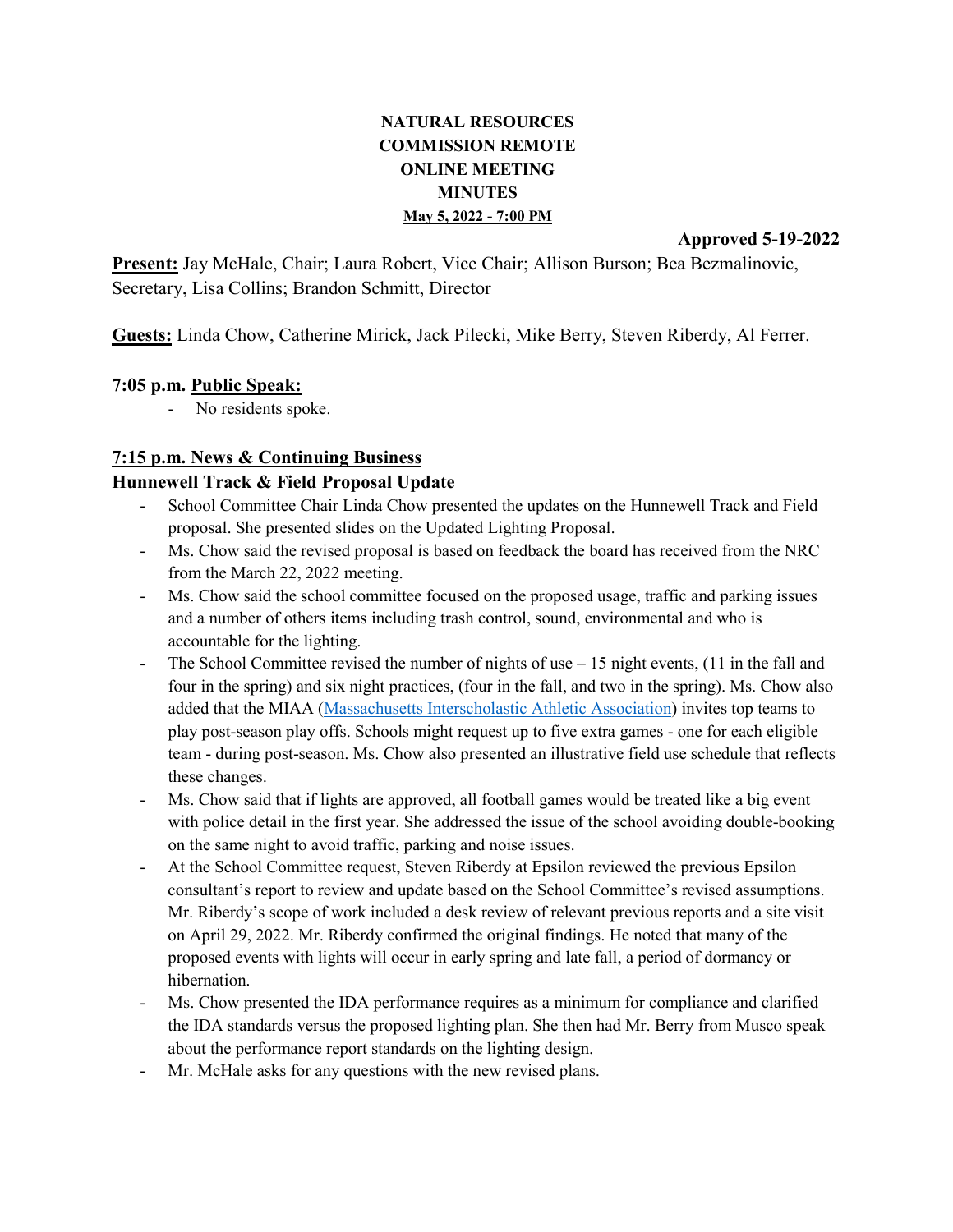# **NATURAL RESOURCES COMMISSION REMOTE ONLINE MEETING MINUTES May 5, 2022 - 7:00 PM**

**Approved 5-19-2022**

**Present:** Jay McHale, Chair; Laura Robert, Vice Chair; Allison Burson; Bea Bezmalinovic, Secretary, Lisa Collins; Brandon Schmitt, Director

**Guests:** Linda Chow, Catherine Mirick, Jack Pilecki, Mike Berry, Steven Riberdy, Al Ferrer.

### **7:05 p.m. Public Speak:**

- No residents spoke.

## **7:15 p.m. News & Continuing Business**

### **Hunnewell Track & Field Proposal Update**

- School Committee Chair Linda Chow presented the updates on the Hunnewell Track and Field proposal. She presented slides on the Updated Lighting Proposal.
- Ms. Chow said the revised proposal is based on feedback the board has received from the NRC from the March 22, 2022 meeting.
- Ms. Chow said the school committee focused on the proposed usage, traffic and parking issues and a number of others items including trash control, sound, environmental and who is accountable for the lighting.
- The School Committee revised the number of nights of use  $-15$  night events, (11 in the fall and four in the spring) and six night practices, (four in the fall, and two in the spring). Ms. Chow also added that the MIAA [\(Massachusetts Interscholastic Athletic Association\)](https://miaa.net/) invites top teams to play post-season play offs. Schools might request up to five extra games - one for each eligible team - during post-season. Ms. Chow also presented an illustrative field use schedule that reflects these changes.
- Ms. Chow said that if lights are approved, all football games would be treated like a big event with police detail in the first year. She addressed the issue of the school avoiding double-booking on the same night to avoid traffic, parking and noise issues.
- At the School Committee request, Steven Riberdy at Epsilon reviewed the previous Epsilon consultant's report to review and update based on the School Committee's revised assumptions. Mr. Riberdy's scope of work included a desk review of relevant previous reports and a site visit on April 29, 2022. Mr. Riberdy confirmed the original findings. He noted that many of the proposed events with lights will occur in early spring and late fall, a period of dormancy or hibernation.
- Ms. Chow presented the IDA performance requires as a minimum for compliance and clarified the IDA standards versus the proposed lighting plan. She then had Mr. Berry from Musco speak about the performance report standards on the lighting design.
- Mr. McHale asks for any questions with the new revised plans.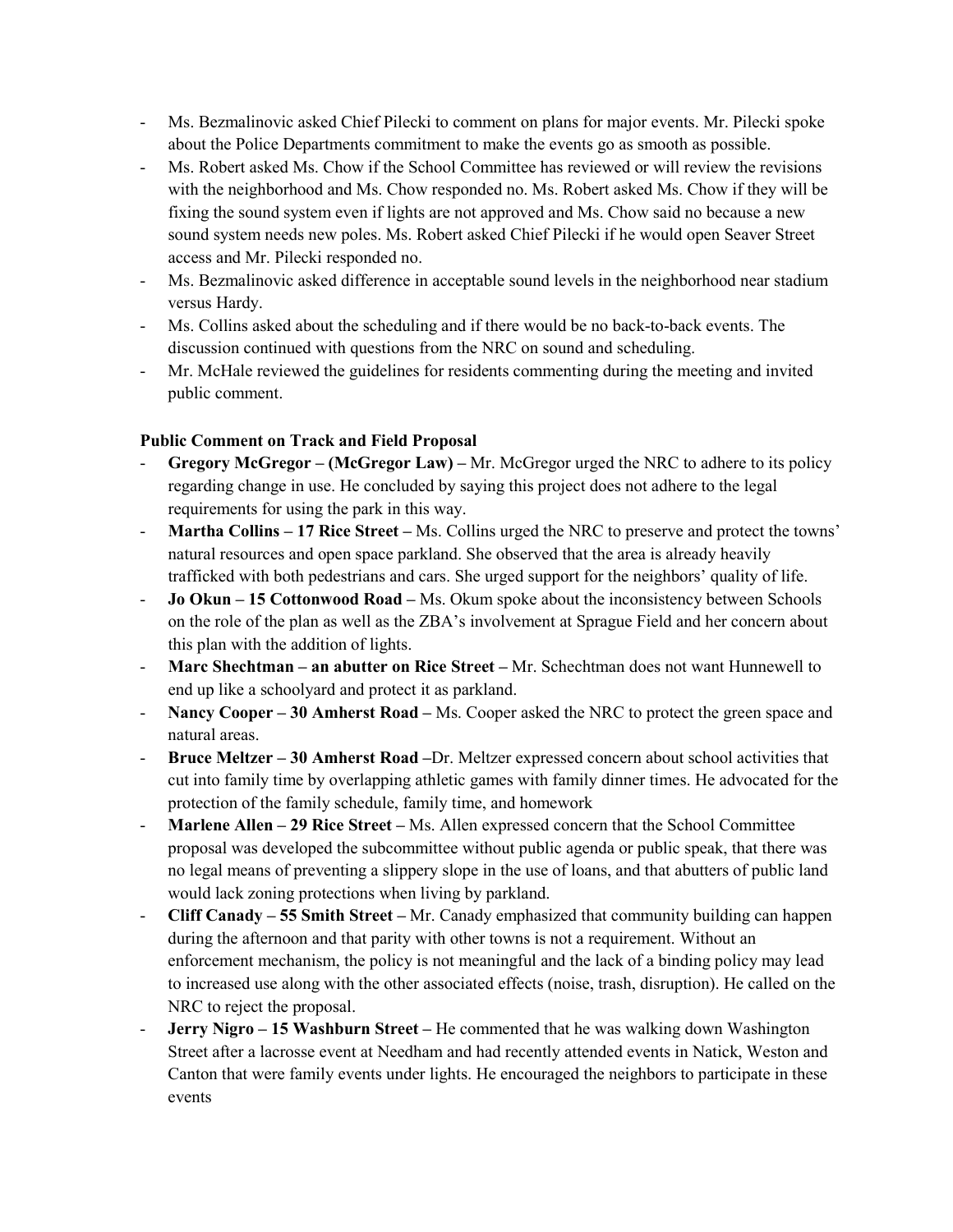- Ms. Bezmalinovic asked Chief Pilecki to comment on plans for major events. Mr. Pilecki spoke about the Police Departments commitment to make the events go as smooth as possible.
- Ms. Robert asked Ms. Chow if the School Committee has reviewed or will review the revisions with the neighborhood and Ms. Chow responded no. Ms. Robert asked Ms. Chow if they will be fixing the sound system even if lights are not approved and Ms. Chow said no because a new sound system needs new poles. Ms. Robert asked Chief Pilecki if he would open Seaver Street access and Mr. Pilecki responded no.
- Ms. Bezmalinovic asked difference in acceptable sound levels in the neighborhood near stadium versus Hardy.
- Ms. Collins asked about the scheduling and if there would be no back-to-back events. The discussion continued with questions from the NRC on sound and scheduling.
- Mr. McHale reviewed the guidelines for residents commenting during the meeting and invited public comment.

### **Public Comment on Track and Field Proposal**

- **Gregory McGregor – (McGregor Law) –** Mr. McGregor urged the NRC to adhere to its policy regarding change in use. He concluded by saying this project does not adhere to the legal requirements for using the park in this way.
- **Martha Collins – 17 Rice Street –** Ms. Collins urged the NRC to preserve and protect the towns' natural resources and open space parkland. She observed that the area is already heavily trafficked with both pedestrians and cars. She urged support for the neighbors' quality of life.
- **Jo Okun – 15 Cottonwood Road –** Ms. Okum spoke about the inconsistency between Schools on the role of the plan as well as the ZBA's involvement at Sprague Field and her concern about this plan with the addition of lights.
- **Marc Shechtman – an abutter on Rice Street –** Mr. Schechtman does not want Hunnewell to end up like a schoolyard and protect it as parkland.
- **Nancy Cooper – 30 Amherst Road –** Ms. Cooper asked the NRC to protect the green space and natural areas.
- **Bruce Meltzer – 30 Amherst Road –**Dr. Meltzer expressed concern about school activities that cut into family time by overlapping athletic games with family dinner times. He advocated for the protection of the family schedule, family time, and homework
- **Marlene Allen – 29 Rice Street –** Ms. Allen expressed concern that the School Committee proposal was developed the subcommittee without public agenda or public speak, that there was no legal means of preventing a slippery slope in the use of loans, and that abutters of public land would lack zoning protections when living by parkland.
- **Cliff Canady – 55 Smith Street –** Mr. Canady emphasized that community building can happen during the afternoon and that parity with other towns is not a requirement. Without an enforcement mechanism, the policy is not meaningful and the lack of a binding policy may lead to increased use along with the other associated effects (noise, trash, disruption). He called on the NRC to reject the proposal.
- **Jerry Nigro – 15 Washburn Street –** He commented that he was walking down Washington Street after a lacrosse event at Needham and had recently attended events in Natick, Weston and Canton that were family events under lights. He encouraged the neighbors to participate in these events